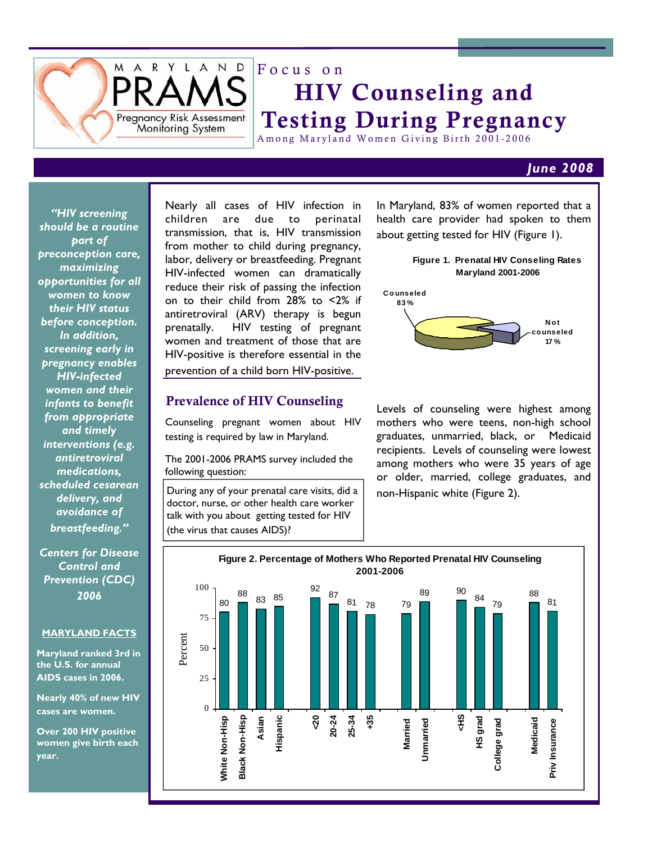

# Focus on HIV Counseling and Testing During Pregnancy

Among Maryland Women Giving Birth 2001-2006

### *June 2008*

*"HIV screening should be a routine part of preconception care, maximizing opportunities for all women to know their HIV status before conception. In addition, screening early in pregnancy enables HIV-infected women and their infants to benefit from appropriate and timely interventions (e.g. antiretroviral medications, scheduled cesarean delivery, and avoidance of breastfeeding."* 

*Centers for Disease Control and Prevention (CDC) 2006* 

### **MARYLAND FACTS**

**Maryland ranked 3rd in the U.S. for annual AIDS cases in 2006.** 

**Nearly 40% of new HIV cases are women.** 

**Over 200 HIV positive women give birth each year.** 

Nearly all cases of HIV infection in children are due to perinatal transmission, that is, HIV transmission from mother to child during pregnancy, labor, delivery or breastfeeding. Pregnant HIV-infected women can dramatically reduce their risk of passing the infection on to their child from 28% to <2% if antiretroviral (ARV) therapy is begun prenatally. HIV testing of pregnant women and treatment of those that are HIV-positive is therefore essential in the prevention of a child born HIV-positive.

### Prevalence of HIV Counseling

Counseling pregnant women about HIV testing is required by law in Maryland.

The 2001-2006 PRAMS survey included the following question:

During any of your prenatal care visits, did a doctor, nurse, or other health care worker talk with you about getting tested for HIV (the virus that causes AIDS)?

In Maryland, 83% of women reported that a health care provider had spoken to them about getting tested for HIV (Figure 1).



Levels of counseling were highest among mothers who were teens, non-high school graduates, unmarried, black, or Medicaid recipients. Levels of counseling were lowest among mothers who were 35 years of age or older, married, college graduates, and non-Hispanic white (Figure 2).

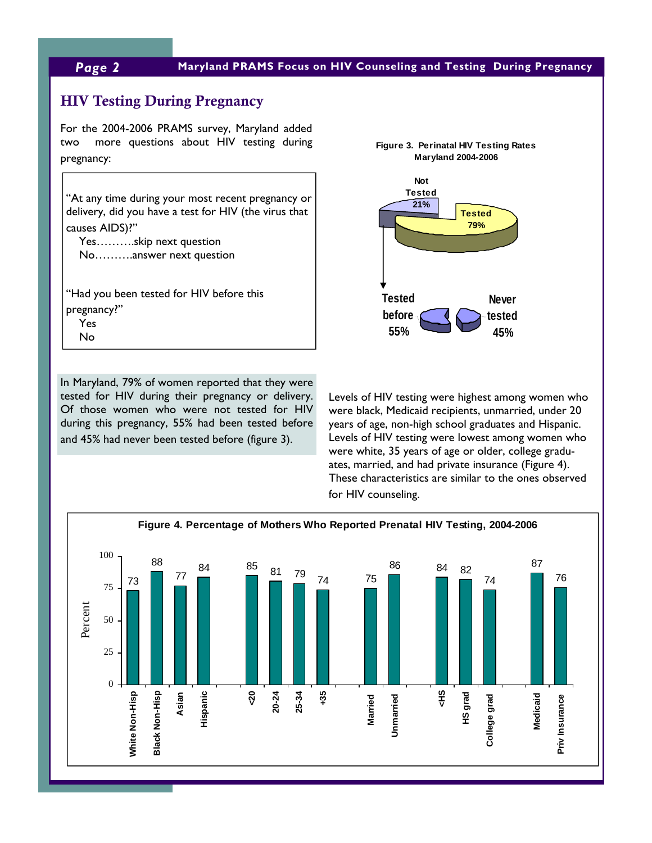# *Page 2* **Maryland PRAMS Focus on HIV Counseling and Testing During Pregnancy**

# HIV Testing During Pregnancy

For the 2004-2006 PRAMS survey, Maryland added two more questions about HIV testing during pregnancy:

"At any time during your most recent pregnancy or delivery, did you have a test for HIV (the virus that causes AIDS)?"

 Yes……….skip next question No……….answer next question

"Had you been tested for HIV before this pregnancy?" Yes No

In Maryland, 79% of women reported that they were tested for HIV during their pregnancy or delivery. Of those women who were not tested for HIV during this pregnancy, 55% had been tested before and 45% had never been tested before (figure 3).



Levels of HIV testing were highest among women who were black, Medicaid recipients, unmarried, under 20 years of age, non-high school graduates and Hispanic. Levels of HIV testing were lowest among women who were white, 35 years of age or older, college graduates, married, and had private insurance (Figure 4). These characteristics are similar to the ones observed for HIV counseling.

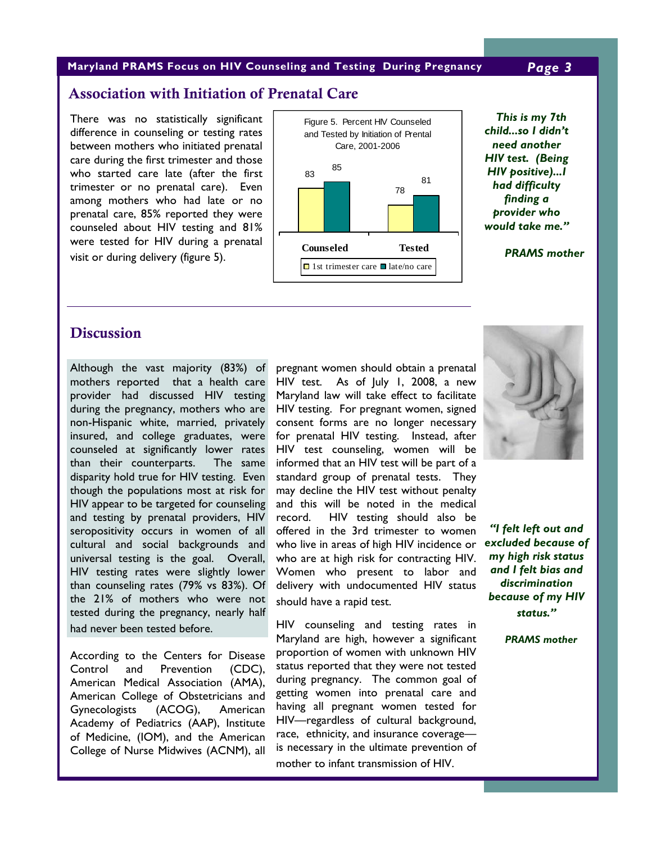### **Maryland PRAMS Focus on HIV Counseling and Testing During Pregnancy** *Page 3*

# Association with Initiation of Prenatal Care

There was no statistically significant difference in counseling or testing rates between mothers who initiated prenatal care during the first trimester and those who started care late (after the first trimester or no prenatal care). Even among mothers who had late or no prenatal care, 85% reported they were counseled about HIV testing and 81% were tested for HIV during a prenatal visit or during delivery (figure 5).



*This is my 7th child...so I didn't need another HIV test. (Being HIV positive)...I had difficulty finding a provider who would take me."* 

 *PRAMS mother*

# **Discussion**

Although the vast majority (83%) of mothers reported that a health care provider had discussed HIV testing during the pregnancy, mothers who are non-Hispanic white, married, privately insured, and college graduates, were counseled at significantly lower rates than their counterparts. The same disparity hold true for HIV testing. Even though the populations most at risk for HIV appear to be targeted for counseling and testing by prenatal providers, HIV seropositivity occurs in women of all cultural and social backgrounds and universal testing is the goal. Overall, HIV testing rates were slightly lower than counseling rates (79% vs 83%). Of the 21% of mothers who were not tested during the pregnancy, nearly half had never been tested before.

According to the Centers for Disease Control and Prevention (CDC), American Medical Association (AMA), American College of Obstetricians and Gynecologists (ACOG), American Academy of Pediatrics (AAP), Institute of Medicine, (IOM), and the American College of Nurse Midwives (ACNM), all

pregnant women should obtain a prenatal HIV test. As of July 1, 2008, a new Maryland law will take effect to facilitate HIV testing. For pregnant women, signed consent forms are no longer necessary for prenatal HIV testing. Instead, after HIV test counseling, women will be informed that an HIV test will be part of a standard group of prenatal tests. They may decline the HIV test without penalty and this will be noted in the medical record. HIV testing should also be offered in the 3rd trimester to women who live in areas of high HIV incidence or who are at high risk for contracting HIV. Women who present to labor and delivery with undocumented HIV status should have a rapid test.

HIV counseling and testing rates in Maryland are high, however a significant proportion of women with unknown HIV status reported that they were not tested during pregnancy.The common goal of getting women into prenatal care and having all pregnant women tested for HIV—regardless of cultural background, race, ethnicity, and insurance coverage is necessary in the ultimate prevention of mother to infant transmission of HIV.



*"I felt left out and excluded because of my high risk status and I felt bias and discrimination because of my HIV status."* 

 *PRAMS mother*